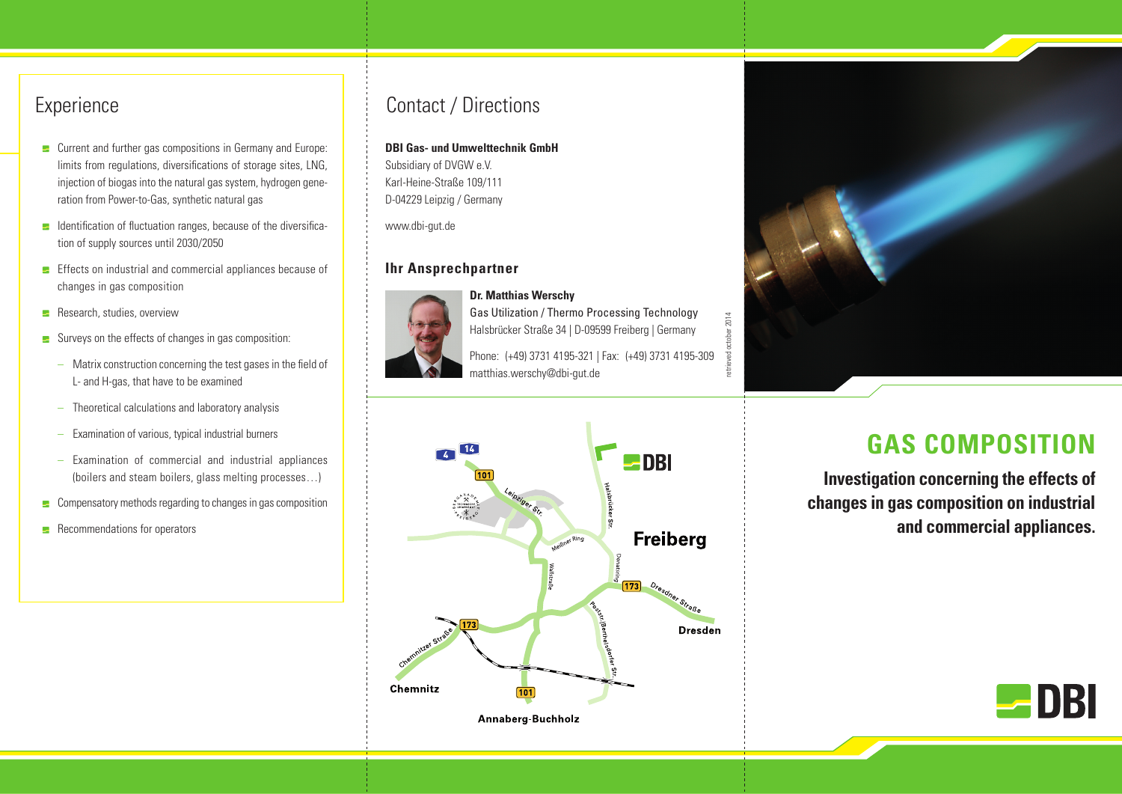## **Experience**

- **E** Current and further gas compositions in Germany and Europe: limits from regulations, diversifications of storage sites, LNG, injection of biogas into the natural gas system, hydrogen generation from Power-to-Gas, synthetic natural gas
- $\blacksquare$  Identification of fluctuation ranges, because of the diversification of supply sources until 2030/2050
- $\blacktriangleright$  Effects on industrial and commercial appliances because of changes in gas composition
- $\blacksquare$  Research, studies, overview
- $\blacktriangleright$  Surveys on the effects of changes in gas composition:
	- Matrix construction concerning the test gases in the field of L- and H-gas, that have to be examined
	- Theoretical calculations and laboratory analysis
	- Examination of various, typical industrial burners
	- Examination of commercial and industrial appliances (boilers and steam boilers, glass melting processes…)
- $\blacksquare$  Compensatory methods regarding to changes in gas composition
- $\blacksquare$  Recommendations for operators

# Contact / Directions

#### **DBI Gas- und Umwelttechnik GmbH**

Subsidiary of DVGW e.V. Karl-Heine-Straße 109/111 D-04229 Leipzig / Germany

www.dbi-gut.de

### **Ihr Ansprechpartner**



**Dr. Matthias Werschy** Gas Utilization / Thermo Processing Technology Halsbrücker Straße 34 | D-09599 Freiberg | Germany

Phone: (+49) 3731 4195-321 | Fax: (+49) 3731 4195-309 matthias.werschy@dbi-gut.de





# **GAS COMPOSITION**

**Investigation concerning the effects of changes in gas composition on industrial and commercial appliances.**